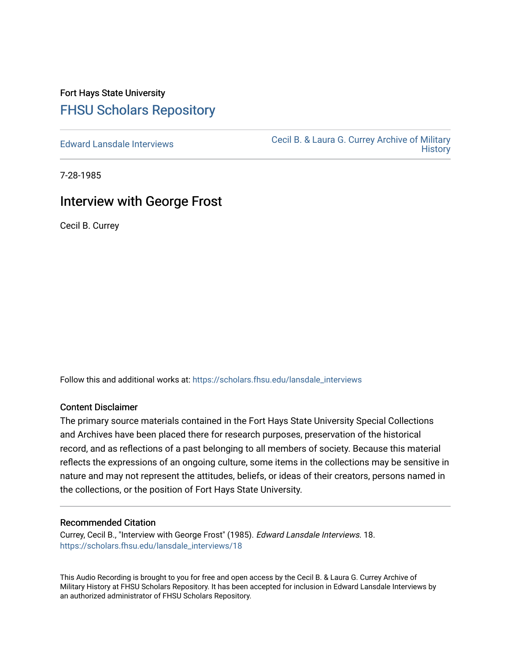# Fort Hays State University [FHSU Scholars Repository](https://scholars.fhsu.edu/)

[Edward Lansdale Interviews](https://scholars.fhsu.edu/lansdale_interviews) [Cecil B. & Laura G. Currey Archive of Military](https://scholars.fhsu.edu/currey)  **History** 

7-28-1985

## Interview with George Frost

Cecil B. Currey

Follow this and additional works at: [https://scholars.fhsu.edu/lansdale\\_interviews](https://scholars.fhsu.edu/lansdale_interviews?utm_source=scholars.fhsu.edu%2Flansdale_interviews%2F18&utm_medium=PDF&utm_campaign=PDFCoverPages) 

### Content Disclaimer

The primary source materials contained in the Fort Hays State University Special Collections and Archives have been placed there for research purposes, preservation of the historical record, and as reflections of a past belonging to all members of society. Because this material reflects the expressions of an ongoing culture, some items in the collections may be sensitive in nature and may not represent the attitudes, beliefs, or ideas of their creators, persons named in the collections, or the position of Fort Hays State University.

### Recommended Citation

Currey, Cecil B., "Interview with George Frost" (1985). Edward Lansdale Interviews. 18. [https://scholars.fhsu.edu/lansdale\\_interviews/18](https://scholars.fhsu.edu/lansdale_interviews/18?utm_source=scholars.fhsu.edu%2Flansdale_interviews%2F18&utm_medium=PDF&utm_campaign=PDFCoverPages)

This Audio Recording is brought to you for free and open access by the Cecil B. & Laura G. Currey Archive of Military History at FHSU Scholars Repository. It has been accepted for inclusion in Edward Lansdale Interviews by an authorized administrator of FHSU Scholars Repository.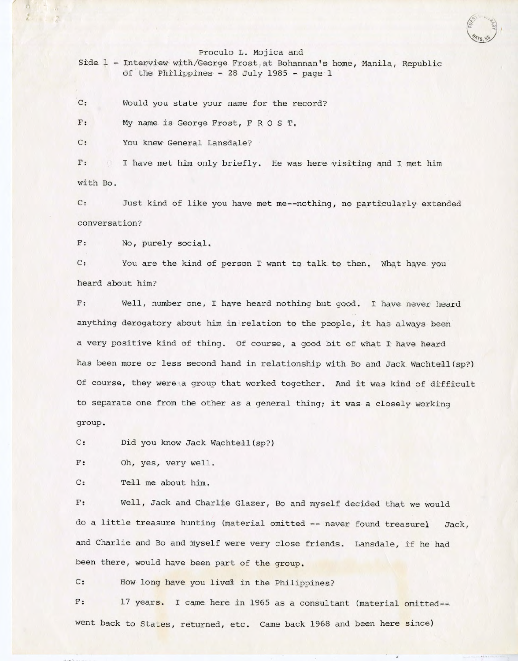Proculo L. Mojica and

Side 1 - Interview with/George Frost at Bohannan's home, Manila, Republic of the Philippines - 28 July 1985 - page  $l$ 

C: would you state your name for the record?

 $\mathbf{F}$  : My name is George Frost, F R O S T.

C: You knew General Lansdale?

/

• *I* 

F: with Bo. I have met him only briefly. He was here visiting and I met him

C: Just kind of like you have met me--nothing, no particularly extended conversation?

F: No, purely social.

C: You are the kind of person I want to talk to then. What have you heard about him?

F: Well, number one, I have heard nothing but good. I have never heard anything derogatory about him in relation to the people, it has always been a very positive kind of thing. Of course, a good bit of what I have heard has been more or less second hand in relationship with Bo and Jack Wachtell(sp?) Of course, they were a group that worked together. And it was kind of difficult to separate one from the other as a general thing; it was a closely working group.

C: Did you know Jack Wachtell (sp?)

F: Oh, yes, very well.

C: Tell me about him.

F: Well, Jack and Charlie Glazer, Bo and myself decided that we would do a little treasure hunting (material omitted -- never found treasurel Jack, and Charlie and Bo and myself were very close friends. Lansdale, if he had been there, would have been part of the group,

C: How long have you lived in the Philippines?

F: 17 years. I came here in 1965 as a consultant (material omitted-went back to States, returned, etc. Came back 1968 and been here since)